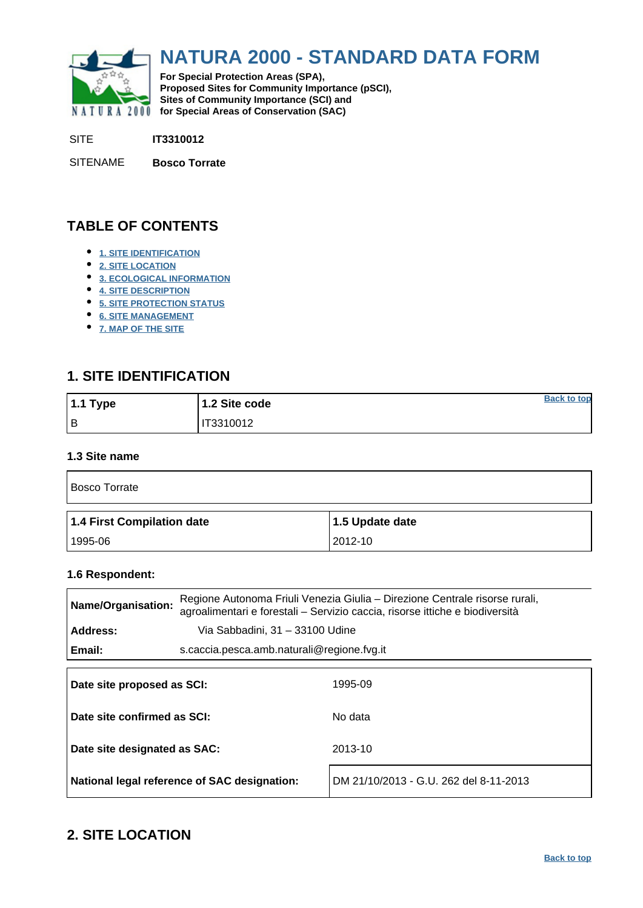<span id="page-0-0"></span>

# **NATURA 2000 - STANDARD DATA FORM**

**For Special Protection Areas (SPA), Proposed Sites for Community Importance (pSCI), Sites of Community Importance (SCI) and NATURA 2000 for Special Areas of Conservation (SAC)** 

SITE **IT3310012**

SITENAME **Bosco Torrate**

### **TABLE OF CONTENTS**

- **[1. SITE IDENTIFICATION](#page-0-1)**
- **[2. SITE LOCATION](#page-0-2)**
- **[3. ECOLOGICAL INFORMATION](#page-1-0)**
- **[4. SITE DESCRIPTION](#page-3-0)**
- **[5. SITE PROTECTION STATUS](#page-4-0)**
- **[6. SITE MANAGEMENT](#page-5-0)**
- **[7. MAP OF THE SITE](#page-5-1)**

### <span id="page-0-1"></span>**1. SITE IDENTIFICATION**

| 1.1 Type | 1.2 Site code | <b>Back to top</b> |
|----------|---------------|--------------------|
| Iв       | IT3310012     |                    |

### **1.3 Site name**

| <b>Bosco Torrate</b>       |                 |  |  |  |  |
|----------------------------|-----------------|--|--|--|--|
| 1.4 First Compilation date | 1.5 Update date |  |  |  |  |
| 1995-06                    | 2012-10         |  |  |  |  |

#### **1.6 Respondent:**

| Regione Autonoma Friuli Venezia Giulia – Direzione Centrale risorse rurali,<br><b>Name/Organisation:</b><br>agroalimentari e forestali - Servizio caccia, risorse ittiche e biodiversità |                                            |         |  |
|------------------------------------------------------------------------------------------------------------------------------------------------------------------------------------------|--------------------------------------------|---------|--|
| Address:                                                                                                                                                                                 | Via Sabbadini, 31 - 33100 Udine            |         |  |
| Email:                                                                                                                                                                                   | s.caccia.pesca.amb.naturali@regione.fvg.it |         |  |
|                                                                                                                                                                                          |                                            |         |  |
| Date site proposed as SCI:                                                                                                                                                               |                                            | 1995-09 |  |
|                                                                                                                                                                                          |                                            |         |  |
| Date site confirmed as SCI:                                                                                                                                                              |                                            | No data |  |
|                                                                                                                                                                                          |                                            |         |  |
| Date site designated as SAC:                                                                                                                                                             |                                            | 2013-10 |  |

**National legal reference of SAC designation:** DM 21/10/2013 - G.U. 262 del 8-11-2013

### <span id="page-0-2"></span>**2. SITE LOCATION**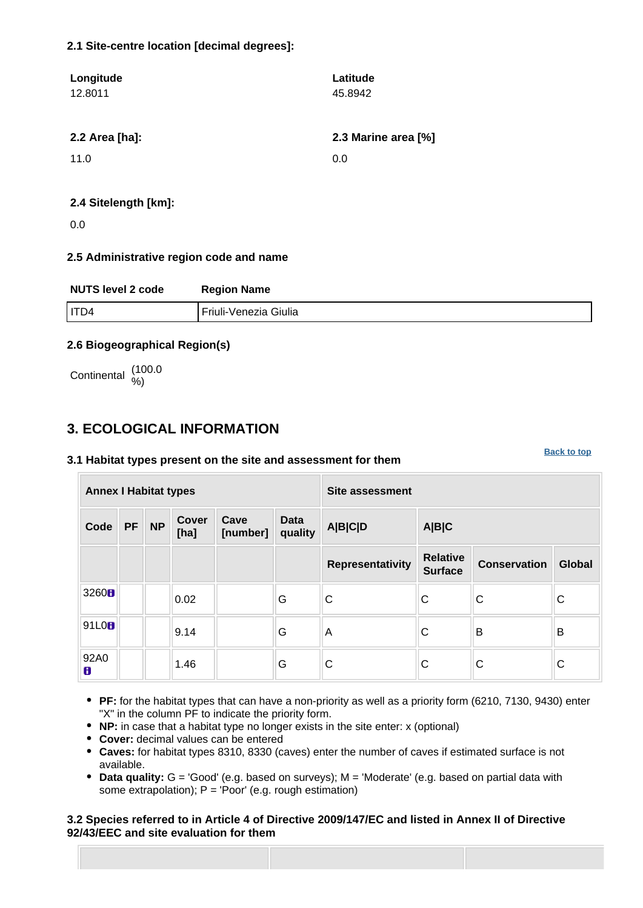### **2.1 Site-centre location [decimal degrees]:**

| Longitude      | Latitude            |
|----------------|---------------------|
| 12.8011        | 45.8942             |
|                |                     |
| 2.2 Area [ha]: | 2.3 Marine area [%] |
| 11.0           | 0.0                 |
|                |                     |
|                |                     |

### **2.4 Sitelength [km]:**

0.0

### **2.5 Administrative region code and name**

| <b>NUTS level 2 code</b> | <b>Region Name</b>    |
|--------------------------|-----------------------|
| I ITD4                   | Friuli-Venezia Giulia |

### **2.6 Biogeographical Region(s)**

Continental (100.0

### <span id="page-1-0"></span>**3. ECOLOGICAL INFORMATION**

### **3.1 Habitat types present on the site and assessment for them**

**Annex I Habitat types Site assessment Code PF NP Cover [ha] Cave [number] Data quality A|B|C|D A|B|C Representativity Relative Surface Conservation Global** <sup>3260</sup> 0.02 G C C C C 91L0 9.14 G A C B B 92A0 1.46 G C C C C

**[Back to top](#page-0-0)**

- **PF:** for the habitat types that can have a non-priority as well as a priority form (6210, 7130, 9430) enter "X" in the column PF to indicate the priority form.
- **NP:** in case that a habitat type no longer exists in the site enter: x (optional)
- **Cover:** decimal values can be entered
- **Caves:** for habitat types 8310, 8330 (caves) enter the number of caves if estimated surface is not available.
- **Data quality:** G = 'Good' (e.g. based on surveys); M = 'Moderate' (e.g. based on partial data with some extrapolation);  $P = 'Poor'$  (e.g. rough estimation)

### **3.2 Species referred to in Article 4 of Directive 2009/147/EC and listed in Annex II of Directive 92/43/EEC and site evaluation for them**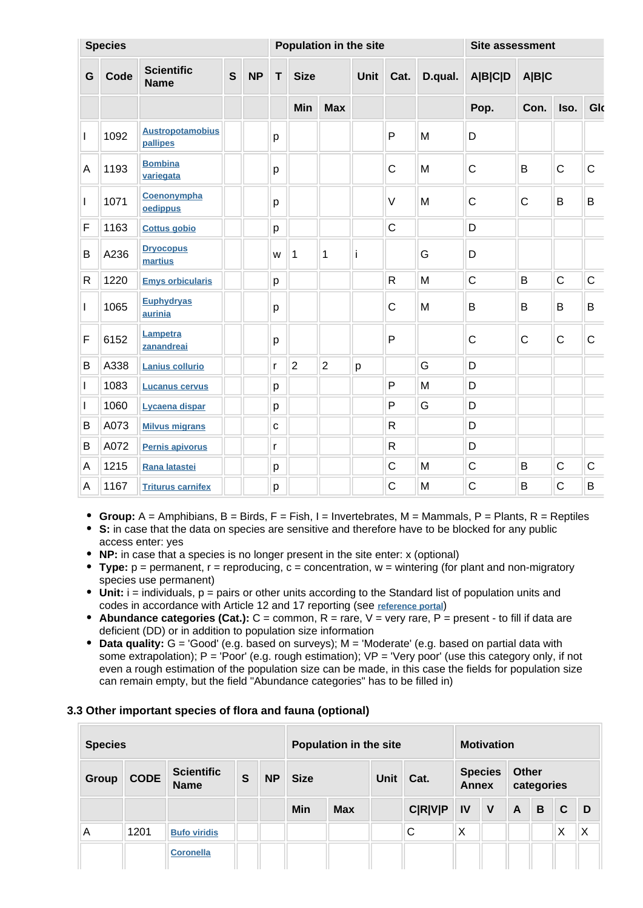|              | <b>Species</b> |                                     |             | Population in the site |             |                |                | Site assessment |                      |   |                |              |              |              |  |
|--------------|----------------|-------------------------------------|-------------|------------------------|-------------|----------------|----------------|-----------------|----------------------|---|----------------|--------------|--------------|--------------|--|
| G            | Code           | <b>Scientific</b><br><b>Name</b>    | $\mathbf S$ | <b>NP</b>              | $\mathbf T$ | <b>Size</b>    |                |                 | Unit Cat.<br>D.qual. |   | <b>A B C D</b> | A B C        |              |              |  |
|              |                |                                     |             |                        |             | Min            | <b>Max</b>     |                 |                      |   | Pop.           | Con.         | Iso.         | Glo          |  |
| I            | 1092           | <b>Austropotamobius</b><br>pallipes |             |                        | p           |                |                |                 | P                    | M | D              |              |              |              |  |
| A            | 1193           | <b>Bombina</b><br>variegata         |             |                        | p           |                |                |                 | $\mathsf{C}$         | M | $\mathsf{C}$   | B            | $\mathsf{C}$ | $\mathsf{C}$ |  |
| I            | 1071           | Coenonympha<br>oedippus             |             |                        | p           |                |                |                 | $\vee$               | M | $\mathsf C$    | $\mathsf{C}$ | B            | B            |  |
| F            | 1163           | <b>Cottus gobio</b>                 |             |                        | р           |                |                |                 | $\mathsf C$          |   | D              |              |              |              |  |
| B            | A236           | <b>Dryocopus</b><br>martius         |             |                        | W           | 1              | 1              | i               |                      | G | D              |              |              |              |  |
| $\mathsf{R}$ | 1220           | <b>Emys orbicularis</b>             |             |                        | p           |                |                |                 | $\mathsf{R}$         | M | $\overline{C}$ | B            | $\mathsf{C}$ | $\mathsf C$  |  |
| $\mathbf{I}$ | 1065           | <b>Euphydryas</b><br>aurinia        |             |                        | р           |                |                |                 | $\mathsf{C}$         | M | B              | B            | B            | B            |  |
| F            | 6152           | Lampetra<br>zanandreai              |             |                        | p           |                |                |                 | P                    |   | $\mathsf{C}$   | $\mathsf{C}$ | $\mathsf{C}$ | $\mathsf{C}$ |  |
| B            | A338           | <b>Lanius collurio</b>              |             |                        | r           | $\overline{2}$ | $\overline{2}$ | p               |                      | G | D              |              |              |              |  |
| $\mathsf{I}$ | 1083           | <b>Lucanus cervus</b>               |             |                        | p           |                |                |                 | P                    | M | D              |              |              |              |  |
| L            | 1060           | Lycaena dispar                      |             |                        | р           |                |                |                 | P                    | G | D              |              |              |              |  |
| B            | A073           | <b>Milvus migrans</b>               |             |                        | C           |                |                |                 | $\mathsf{R}$         |   | D              |              |              |              |  |
| B            | A072           | Pernis apivorus                     |             |                        | r           |                |                |                 | $\mathsf{R}$         |   | D              |              |              |              |  |
| A            | 1215           | Rana latastei                       |             |                        | p           |                |                |                 | $\mathsf{C}$         | M | $\mathsf C$    | B            | $\mathsf C$  | $\mathsf C$  |  |
| A            | 1167           | <b>Triturus carnifex</b>            |             |                        | p           |                |                |                 | C                    | M | $\mathsf{C}$   | B            | $\mathsf C$  | B            |  |

- **Group:**  $A =$  Amphibians,  $B =$  Birds,  $F =$  Fish,  $I =$  Invertebrates,  $M =$  Mammals,  $P =$  Plants,  $R =$  Reptiles
- **S:** in case that the data on species are sensitive and therefore have to be blocked for any public access enter: yes
- **NP:** in case that a species is no longer present in the site enter: x (optional)
- **Type:** p = permanent, r = reproducing, c = concentration, w = wintering (for plant and non-migratory species use permanent)
- $\bullet$  Unit: i = individuals,  $p =$  pairs or other units according to the Standard list of population units and codes in accordance with Article 12 and 17 reporting (see **[reference portal](http://bd.eionet.europa.eu/activities/Natura_2000/reference_portal)**)
- **Abundance categories (Cat.):** C = common, R = rare, V = very rare, P = present to fill if data are deficient (DD) or in addition to population size information
- **Data quality:** G = 'Good' (e.g. based on surveys); M = 'Moderate' (e.g. based on partial data with some extrapolation);  $P = 'Poor'$  (e.g. rough estimation);  $VP = 'Verv$  poor' (use this category only, if not even a rough estimation of the population size can be made, in this case the fields for population size can remain empty, but the field "Abundance categories" has to be filled in)

### **3.3 Other important species of flora and fauna (optional)**

| <b>Species</b> |             |                                  | <b>Population in the site</b> |           |             | <b>Motivation</b> |             |                |              |                |              |            |              |   |
|----------------|-------------|----------------------------------|-------------------------------|-----------|-------------|-------------------|-------------|----------------|--------------|----------------|--------------|------------|--------------|---|
| <b>Group</b>   | <b>CODE</b> | <b>Scientific</b><br><b>Name</b> | S                             | <b>NP</b> | <b>Size</b> |                   | <b>Unit</b> | Cat.           | <b>Annex</b> | <b>Species</b> | <b>Other</b> | categories |              |   |
|                |             |                                  |                               |           | Min         | <b>Max</b>        |             | <b>C R V P</b> | <b>IV</b>    | V              | $\mathsf{A}$ | B          | $\mathbf{C}$ | D |
| Α              | 1201        | <b>Bufo viridis</b>              |                               |           |             |                   |             | C              | X            |                |              |            | Χ            | Χ |
|                |             | <b>Coronella</b>                 |                               |           |             |                   |             |                |              |                |              |            |              |   |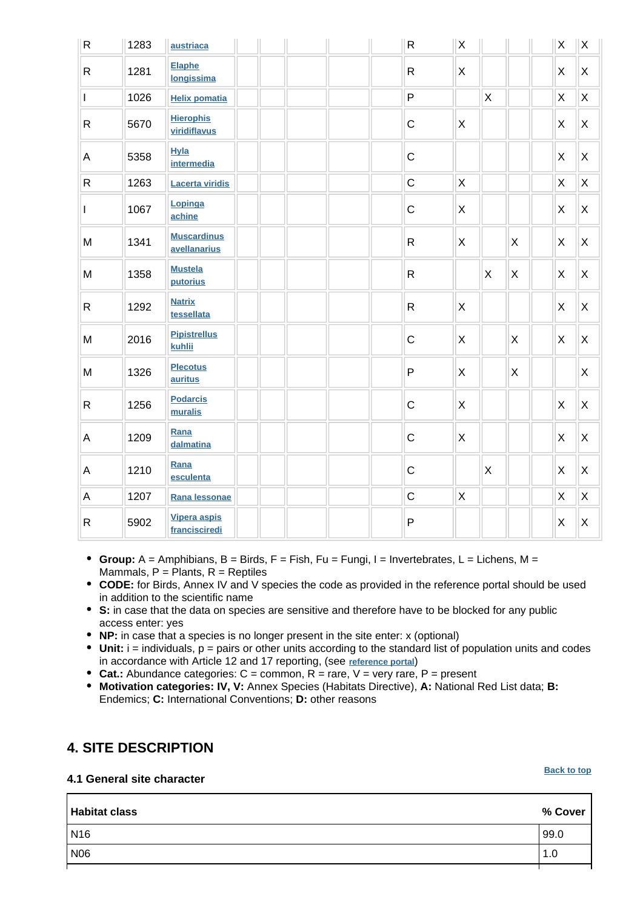| R            | 1283 | austriaca                            | ${\sf R}$    | $\mathsf X$    |             |              | X            | $\mathsf X$    |
|--------------|------|--------------------------------------|--------------|----------------|-------------|--------------|--------------|----------------|
| $\mathsf{R}$ | 1281 | Elaphe<br>longissima                 | $\mathsf{R}$ | $\mathsf{X}$   |             |              | X            | X              |
| I            | 1026 | <b>Helix pomatia</b>                 | $\sf P$      |                | $\mathsf X$ |              | Χ            | $\mathsf X$    |
| R            | 5670 | <b>Hierophis</b><br>viridiflavus     | $\mathsf C$  | X              |             |              | X            | X              |
| А            | 5358 | <b>Hyla</b><br>intermedia            | $\mathsf C$  |                |             |              | $\mathsf{X}$ | X              |
| $\mathsf{R}$ | 1263 | <b>Lacerta viridis</b>               | $\mathsf C$  | $\pmb{\times}$ |             |              | $\mathsf{X}$ | X              |
| $\mathbf{I}$ | 1067 | Lopinga<br>achine                    | $\mathsf C$  | X              |             |              | X            | X              |
| M            | 1341 | <b>Muscardinus</b><br>avellanarius   | $\mathsf{R}$ | X              |             | X            | X            | X              |
| M            | 1358 | <b>Mustela</b><br>putorius           | $\mathsf{R}$ |                | X           | X            | X            | X              |
| $\mathsf{R}$ | 1292 | <b>Natrix</b><br>tessellata          | $\mathsf{R}$ | X              |             |              | X            | $\pmb{\times}$ |
| M            | 2016 | <b>Pipistrellus</b><br>kuhlii        | $\mathsf C$  | X              |             | X            | X            | $\pmb{\times}$ |
| M            | 1326 | <b>Plecotus</b><br>auritus           | ${\sf P}$    | $\mathsf{X}$   |             | $\mathsf{X}$ |              | X              |
| $\mathsf{R}$ | 1256 | <b>Podarcis</b><br>muralis           | $\mathsf C$  | $\mathsf{X}$   |             |              | X            | X              |
| А            | 1209 | Rana<br>dalmatina                    | $\mathsf C$  | X              |             |              | X            | X              |
| Α            | 1210 | Rana<br>esculenta                    | $\mathsf{C}$ |                | X           |              | X            | X              |
| A            | 1207 | Rana lessonae                        | $\mathsf C$  | X              |             |              | X            | X              |
| R            | 5902 | <b>Vipera aspis</b><br>francisciredi | P            |                |             |              | X            | $\times$       |

- **Group:** A = Amphibians, B = Birds, F = Fish, Fu = Fungi, I = Invertebrates, L = Lichens, M = Mammals,  $P =$  Plants,  $R =$  Reptiles
- **CODE:** for Birds, Annex IV and V species the code as provided in the reference portal should be used in addition to the scientific name
- **S:** in case that the data on species are sensitive and therefore have to be blocked for any public access enter: yes
- **NP:** in case that a species is no longer present in the site enter: x (optional)
- **Unit:** i = individuals, p = pairs or other units according to the standard list of population units and codes in accordance with Article 12 and 17 reporting, (see **[reference portal](http://bd.eionet.europa.eu/activities/Natura_2000/reference_portal)**)
- **Cat.:** Abundance categories: C = common, R = rare, V = very rare, P = present
- **Motivation categories: IV, V:** Annex Species (Habitats Directive), **A:** National Red List data; **B:** Endemics; **C:** International Conventions; **D:** other reasons

### <span id="page-3-0"></span>**4. SITE DESCRIPTION**

### **4.1 General site character**

#### **[Back to top](#page-0-0)**

| <b>Habitat class</b> | % Cover |
|----------------------|---------|
| N <sub>16</sub>      | 99.0    |
| <b>N06</b>           | 1.0     |
|                      |         |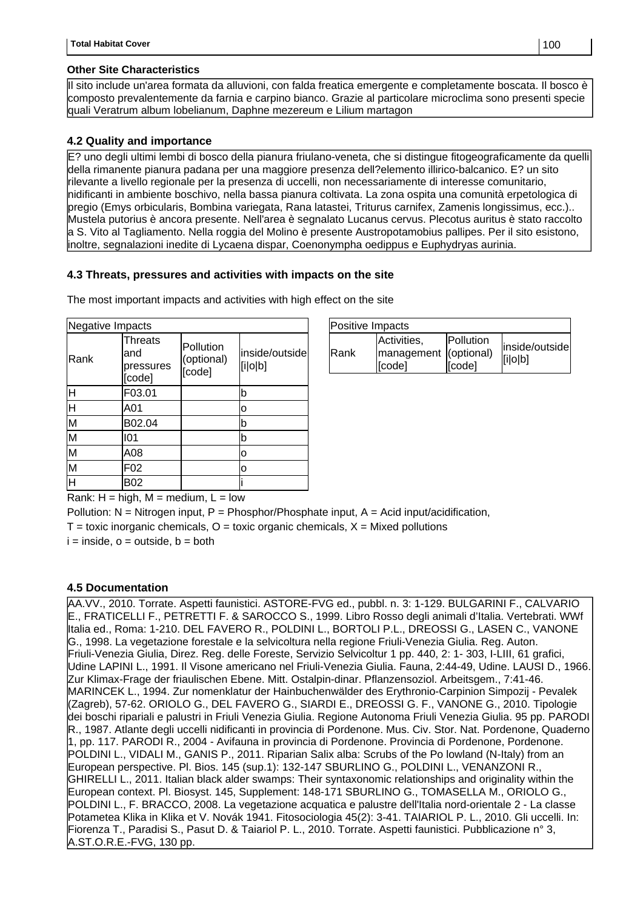#### **Other Site Characteristics**

Il sito include un'area formata da alluvioni, con falda freatica emergente e completamente boscata. Il bosco è composto prevalentemente da farnia e carpino bianco. Grazie al particolare microclima sono presenti specie quali Veratrum album lobelianum, Daphne mezereum e Lilium martagon

### **4.2 Quality and importance**

E? uno degli ultimi lembi di bosco della pianura friulano-veneta, che si distingue fitogeograficamente da quelli della rimanente pianura padana per una maggiore presenza dell?elemento illirico-balcanico. E? un sito rilevante a livello regionale per la presenza di uccelli, non necessariamente di interesse comunitario, nidificanti in ambiente boschivo, nella bassa pianura coltivata. La zona ospita una comunità erpetologica di pregio (Emys orbicularis, Bombina variegata, Rana latastei, Triturus carnifex, Zamenis longissimus, ecc.).. Mustela putorius è ancora presente. Nell'area è segnalato Lucanus cervus. Plecotus auritus è stato raccolto a S. Vito al Tagliamento. Nella roggia del Molino è presente Austropotamobius pallipes. Per il sito esistono, inoltre, segnalazioni inedite di Lycaena dispar, Coenonympha oedippus e Euphydryas aurinia.

### **4.3 Threats, pressures and activities with impacts on the site**

The most important impacts and activities with high effect on the site

| Negative Impacts        |                                              |                                   |                           |  |  |
|-------------------------|----------------------------------------------|-----------------------------------|---------------------------|--|--|
| Rank                    | <b>Threats</b><br>and<br>pressures<br>[code] | Pollution<br>(optional)<br>[code] | inside/outside<br>[i o b] |  |  |
| H                       | F03.01                                       |                                   | b                         |  |  |
| ਜਿ                      | A01                                          |                                   | 0                         |  |  |
| $\overline{\mathsf{M}}$ | B02.04                                       |                                   | b                         |  |  |
| $\overline{\mathsf{M}}$ | 101                                          |                                   | b                         |  |  |
| M                       | A08                                          |                                   | o                         |  |  |
| $\overline{\mathsf{M}}$ | F02                                          |                                   | 0                         |  |  |
| H                       | <b>B02</b>                                   |                                   |                           |  |  |

| Positive Impacts |                                                |                     |                           |  |  |  |
|------------------|------------------------------------------------|---------------------|---------------------------|--|--|--|
| <b>IRank</b>     | Activities,<br>management (optional)<br>[code] | Pollution<br>[code] | inside/outside<br>[i o b] |  |  |  |

Rank:  $H = high$ ,  $M = medium$ ,  $L = low$ 

Pollution:  $N =$  Nitrogen input, P = Phosphor/Phosphate input, A = Acid input/acidification,

 $T =$  toxic inorganic chemicals,  $Q =$  toxic organic chemicals,  $X =$  Mixed pollutions

 $i =$  inside,  $o =$  outside,  $b =$  both

### **4.5 Documentation**

<span id="page-4-0"></span>AA.VV., 2010. Torrate. Aspetti faunistici. ASTORE-FVG ed., pubbl. n. 3: 1-129. BULGARINI F., CALVARIO E., FRATICELLI F., PETRETTI F. & SAROCCO S., 1999. Libro Rosso degli animali d'Italia. Vertebrati. WWf Italia ed., Roma: 1-210. DEL FAVERO R., POLDINI L., BORTOLI P.L., DREOSSI G., LASEN C., VANONE G., 1998. La vegetazione forestale e la selvicoltura nella regione Friuli-Venezia Giulia. Reg. Auton. Friuli-Venezia Giulia, Direz. Reg. delle Foreste, Servizio Selvicoltur 1 pp. 440, 2: 1- 303, I-LIII, 61 grafici, Udine LAPINI L., 1991. Il Visone americano nel Friuli-Venezia Giulia. Fauna, 2:44-49, Udine. LAUSI D., 1966. Zur Klimax-Frage der friaulischen Ebene. Mitt. Ostalpin-dinar. Pflanzensoziol. Arbeitsgem., 7:41-46. MARINCEK L., 1994. Zur nomenklatur der Hainbuchenwälder des Erythronio-Carpinion Simpozij - Pevalek (Zagreb), 57-62. ORIOLO G., DEL FAVERO G., SIARDI E., DREOSSI G. F., VANONE G., 2010. Tipologie dei boschi ripariali e palustri in Friuli Venezia Giulia. Regione Autonoma Friuli Venezia Giulia. 95 pp. PARODI R., 1987. Atlante degli uccelli nidificanti in provincia di Pordenone. Mus. Civ. Stor. Nat. Pordenone, Quaderno 1, pp. 117. PARODI R., 2004 - Avifauna in provincia di Pordenone. Provincia di Pordenone, Pordenone. POLDINI L., VIDALI M., GANIS P., 2011. Riparian Salix alba: Scrubs of the Po lowland (N-Italy) from an European perspective. Pl. Bios. 145 (sup.1): 132-147 SBURLINO G., POLDINI L., VENANZONI R., GHIRELLI L., 2011. Italian black alder swamps: Their syntaxonomic relationships and originality within the European context. Pl. Biosyst. 145, Supplement: 148-171 SBURLINO G., TOMASELLA M., ORIOLO G., POLDINI L., F. BRACCO, 2008. La vegetazione acquatica e palustre dell'Italia nord-orientale 2 - La classe Potametea Klika in Klika et V. Novák 1941. Fitosociologia 45(2): 3-41. TAIARIOL P. L., 2010. Gli uccelli. In: Fiorenza T., Paradisi S., Pasut D. & Taiariol P. L., 2010. Torrate. Aspetti faunistici. Pubblicazione n° 3, A.ST.O.R.E.-FVG, 130 pp.